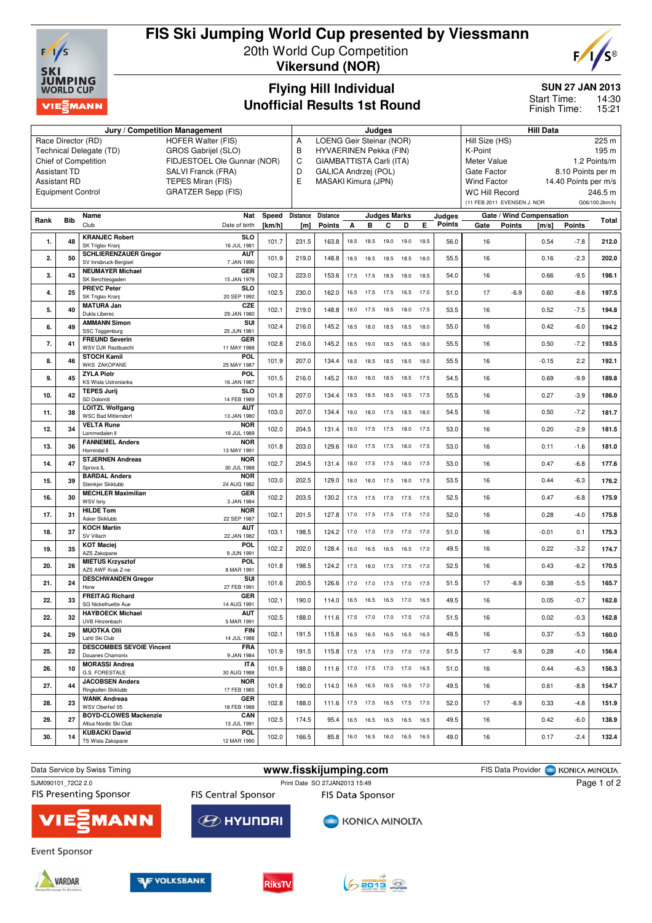

# **FIS Ski Jumping World Cup presented by Viessmann**

20th World Cup Competition **Vikersund (NOR)**



### **Flying Hill Individual Unofficial Results 1st Round**

#### **SUN 27 JAN 2013**

14:30 15:21 Start Time: Finish Time:

|                                                                                                  |                          | Jury / Competition Management                     | Judges                                         |        |          |                                                            |                               |                              |                     |                    | <b>Hill Data</b> |        |                                                                 |                      |                          |               |                |  |  |
|--------------------------------------------------------------------------------------------------|--------------------------|---------------------------------------------------|------------------------------------------------|--------|----------|------------------------------------------------------------|-------------------------------|------------------------------|---------------------|--------------------|------------------|--------|-----------------------------------------------------------------|----------------------|--------------------------|---------------|----------------|--|--|
| <b>HOFER Walter (FIS)</b><br>Race Director (RD)                                                  |                          |                                                   |                                                |        |          |                                                            | LOENG Geir Steinar (NOR)<br>Α |                              |                     |                    |                  |        |                                                                 |                      | Hill Size (HS)<br>225 m  |               |                |  |  |
| GROS Gabrijel (SLO)<br>Technical Delegate (TD)                                                   |                          |                                                   |                                                |        |          | HYVAERINEN Pekka (FIN)<br>В                                |                               |                              |                     |                    |                  |        |                                                                 | K-Point<br>195 m     |                          |               |                |  |  |
| Chief of Competition<br>FIDJESTOEL Ole Gunnar (NOR)<br><b>Assistant TD</b><br>SALVI Franck (FRA) |                          |                                                   |                                                |        |          | C<br>GIAMBATTISTA Carli (ITA)<br>D<br>GALICA Andrzej (POL) |                               |                              |                     |                    |                  |        | 1.2 Points/m<br>Meter Value<br>Gate Factor<br>8.10 Points per m |                      |                          |               |                |  |  |
|                                                                                                  | <b>Assistant RD</b>      | E                                                 | MASAKI Kimura (JPN)                            |        |          |                                                            |                               |                              |                     | <b>Wind Factor</b> |                  |        |                                                                 | 14.40 Points per m/s |                          |               |                |  |  |
|                                                                                                  | <b>Equipment Control</b> |                                                   | TEPES Miran (FIS)<br><b>GRATZER Sepp (FIS)</b> |        |          |                                                            |                               |                              |                     |                    |                  |        | <b>WC Hill Record</b>                                           |                      |                          |               | 246.5 m        |  |  |
|                                                                                                  |                          |                                                   |                                                |        |          |                                                            |                               |                              |                     |                    |                  |        | (11 FEB 2011 EVENSEN J. NOR                                     |                      |                          |               | G06/100.2km/h) |  |  |
|                                                                                                  |                          | Name                                              | Nat                                            | Speed  | Distance | <b>Distance</b>                                            |                               |                              | <b>Judges Marks</b> |                    |                  | Judges |                                                                 |                      | Gate / Wind Compensation |               |                |  |  |
| Rank                                                                                             | <b>Bib</b>               | Club                                              | Date of birth                                  | [km/h] | [m]      | Points                                                     | A                             | в                            | С                   | D                  | E.               | Points | Gate                                                            | <b>Points</b>        | [m/s]                    | <b>Points</b> | Total          |  |  |
| 1.                                                                                               | 48                       | <b>KRANJEC Robert</b>                             | SI <sub>O</sub>                                | 101.7  | 231.5    | 163.8                                                      | 18.5                          | 18.5                         | 19.0                | 19.0               | 18.5             | 56.0   | 16                                                              |                      | 0.54                     | $-7.8$        | 212.0          |  |  |
|                                                                                                  |                          | SK Triglav Kranj<br><b>SCHLIERENZAUER Gregor</b>  | 16 JUL 1981<br><b>AUT</b>                      |        |          |                                                            |                               |                              |                     |                    |                  |        |                                                                 |                      |                          |               |                |  |  |
| 2.                                                                                               | 50                       | SV Innsbruck-Bergisel                             | 7 JAN 1990                                     | 101.9  | 219.0    | 148.8                                                      | 18.5                          | 18.5                         | 18.5                | 18.5               | 18.0             | 55.5   | 16                                                              |                      | 0.16                     | $-2.3$        | 202.0          |  |  |
| 3.                                                                                               | 43                       | <b>NEUMAYER Michael</b><br>SK Berchtesgaden       | GER<br>15 JAN 1979                             | 102.3  | 223.0    | 153.6                                                      |                               | 17.5 17.5                    | 18.5                | 18.0               | 18.5             | 54.0   | 16                                                              |                      | 0.66                     | $-9.5$        | 198.1          |  |  |
| 4.                                                                                               | 25                       | <b>PREVC Peter</b><br>SK Triglav Kranj            | SLO<br>20 SEP 1992                             | 102.5  | 230.0    | 162.0                                                      | 16.5                          | 17.5                         | 17.5                | 16.5               | 17.0             | 51.0   | 17                                                              | $-6.9$               | 0.60                     | $-8.6$        | 197.5          |  |  |
| 5.                                                                                               | 40                       | <b>MATURA Jan</b><br>Dukla Liberec                | CZE<br>29 JAN 1980                             | 102.1  | 219.0    | 148.8                                                      | 18.0                          | 17.5                         | 18.5                | 18.0               | 17.5             | 53.5   | 16                                                              |                      | 0.52                     | $-7.5$        | 194.8          |  |  |
| 6.                                                                                               | 49                       | <b>AMMANN Simon</b>                               | SUI                                            | 102.4  | 216.0    | 145.2                                                      | 18.5                          | 18.0                         | 18.5                | 18.5               | 18.0             | 55.0   | 16                                                              |                      | 0.42                     | $-6.0$        | 194.2          |  |  |
|                                                                                                  |                          | SSC Toggenburg<br><b>FREUND Severin</b>           | 25 JUN 1981<br>GER                             |        |          |                                                            |                               |                              |                     |                    |                  |        |                                                                 |                      |                          |               |                |  |  |
| 7.                                                                                               | 41                       | WSV DJK Rastbuechl                                | 11 MAY 1988                                    | 102.8  | 216.0    | 145.2                                                      | 18.5                          | 19.0                         | 18.5                | 18.5               | 18.0             | 55.5   | 16                                                              |                      | 0.50                     | $-7.2$        | 193.5          |  |  |
| 8.                                                                                               | 46                       | <b>STOCH Kamil</b><br><b>WKS ZAKOPANE</b>         | POL<br>25 MAY 1987                             | 101.9  | 207.0    | 134.4                                                      | 18.5                          | 18.5                         | 18.5                | 18.5               | 18.0             | 55.5   | 16                                                              |                      | $-0.15$                  | 2.2           | 192.1          |  |  |
| 9.                                                                                               | 45                       | <b>ZYLA Piotr</b><br>KS Wisla Ustronianka         | POL<br>16 JAN 1987                             | 101.5  | 216.0    | 145.2                                                      | 18.0                          | 18.0                         | 18.5                | 18.5               | 17.5             | 54.5   | 16                                                              |                      | 0.69                     | $-9.9$        | 189.8          |  |  |
| 10.                                                                                              | 42                       | <b>TEPES Jurij</b><br>SD Dolomiti                 | SI <sub>O</sub><br>14 FEB 1989                 | 101.8  | 207.0    | 134.4                                                      | 18.5                          | 18.5                         | 18.5                | 18.5 17.5          |                  | 55.5   | 16                                                              |                      | 0.27                     | $-3.9$        | 186.0          |  |  |
| 11.                                                                                              | 38                       | <b>LOITZL Wolfgang</b>                            | <b>AUT</b>                                     | 103.0  | 207.0    | 134.4                                                      | 19.0                          | 18.0                         | 17.5                | 18.5               | 18.0             | 54.5   | 16                                                              |                      | 0.50                     | $-7.2$        | 181.7          |  |  |
| 12.                                                                                              | 34                       | <b>WSC Bad Mitterndorf</b><br><b>VELTA Rune</b>   | 13 JAN 1980<br><b>NOR</b>                      | 102.0  | 204.5    | 131.4                                                      | 18.0                          | 17.5                         | 17.5                | 18.0               | 17.5             | 53.0   | 16                                                              |                      | 0.20                     | $-2.9$        | 181.5          |  |  |
| 13.                                                                                              | 36                       | Lommedalen II<br><b>FANNEMEL Anders</b>           | 19 JUL 1989<br><b>NOR</b>                      | 101.8  | 203.0    | 129.6                                                      | 18.0                          | 17.5                         | 17.5                | 18.0               | 17.5             | 53.0   | 16                                                              |                      | 0.11                     | $-1.6$        | 181.0          |  |  |
|                                                                                                  |                          | Hornindal II<br><b>STJERNEN Andreas</b>           | 13 MAY 1991<br><b>NOR</b>                      |        |          |                                                            |                               |                              |                     |                    |                  |        |                                                                 |                      |                          |               |                |  |  |
| 14.                                                                                              | 47                       | Sprova <sub>IL</sub><br><b>BARDAL Anders</b>      | 30 JUL 1988<br><b>NOR</b>                      | 102.7  | 204.5    | 131.4                                                      | 18.0                          | 17.5                         | 17.5                | 18.0               | 17.5             | 53.0   | 16                                                              |                      | 0.47                     | $-6.8$        | 177.6          |  |  |
| 15.                                                                                              | 39                       | Steinkjer Skiklubb<br><b>MECHLER Maximilian</b>   | 24 AUG 1982<br>GER                             | 103.0  | 202.5    | 129.0                                                      | 18.0                          | 18.0                         | 17.5                | 18.0               | 17.5             | 53.5   | 16                                                              |                      | 0.44                     | $-6.3$        | 176.2          |  |  |
| 16.                                                                                              | 30                       | WSV Isny                                          | 3 JAN 1984                                     | 102.2  | 203.5    | 130.2                                                      | 17.5                          | 17.5                         | 17.0                | 17.5               | 17.5             | 52.5   | 16                                                              |                      | 0.47                     | $-6.8$        | 175.9          |  |  |
| 17.                                                                                              | 31                       | <b>HILDE Tom</b><br>Asker Skiklubb                | <b>NOR</b><br>22 SEP 1987                      | 102.1  | 201.5    | 127.8                                                      | 17.0                          | 17.5                         | 17.5                | 17.5               | 17.0             | 52.0   | 16                                                              |                      | 0.28                     | $-4.0$        | 175.8          |  |  |
| 18.                                                                                              | 37                       | <b>KOCH Martin</b><br>SV Villach                  | <b>AUT</b><br>22 JAN 1982                      | 103.1  | 198.5    | 124.2                                                      | 17.0                          | 17.0                         | 17.0                | 17.0               | 17.0             | 51.0   | 16                                                              |                      | $-0.01$                  | 0.1           | 175.3          |  |  |
| 19.                                                                                              | 35                       | <b>KOT Maciej</b><br>AZS Zakopane                 | POL<br>9 JUN 1991                              | 102.2  | 202.0    | 128.4                                                      | 16.0                          | 16.5                         | 16.5                | 16.5               | 17.0             | 49.5   | 16                                                              |                      | 0.22                     | $-3.2$        | 174.7          |  |  |
| 20.                                                                                              | 26                       | <b>MIETUS Krzysztof</b><br>AZS AWF Krak Z-ne      | POL<br>8 MAR 1991                              | 101.8  | 198.5    | 124.2                                                      | 17.5                          | 18.0                         |                     | 17.5 17.5 17.0     |                  | 52.5   | 16                                                              |                      | 0.43                     | $-6.2$        | 170.5          |  |  |
| 21.                                                                                              | 24                       | <b>DESCHWANDEN Gregor</b>                         | SUI                                            | 101.6  | 200.5    | 126.6                                                      | 17.0                          | 17.0                         | 17.5                | 17.0               | 17.5             | 51.5   | 17                                                              | $-6.9$               | 0.38                     | $-5.5$        | 165.7          |  |  |
| 22.                                                                                              | 33                       | Horw<br><b>FREITAG Richard</b>                    | 27 FEB 1991<br>GER                             | 102.1  | 190.0    | 114.0                                                      | 16.5                          | 16.5 16.5                    |                     | 17.0               | 16.5             | 49.5   | 16                                                              |                      | 0.05                     | $-0.7$        | 162.8          |  |  |
| 22.                                                                                              | 32                       | SG Nickelhuette Aue<br><b>HAYBOECK Michael</b>    | 14 AUG 1991<br><b>AUT</b>                      | 102.5  | 188.0    | 111.6                                                      |                               | 17.5 17.0 17.0 17.5 17.0     |                     |                    |                  | 51.5   | 16                                                              |                      | 0.02                     | $-0.3$        | 162.8          |  |  |
|                                                                                                  |                          | UVB Hinzenbach<br><b>MUOTKA OIII</b>              | 5 MAR 1991<br>FIN                              |        |          |                                                            |                               |                              |                     |                    |                  |        |                                                                 |                      |                          |               |                |  |  |
| 24.                                                                                              | 29                       | Lahti Ski Club<br><b>DESCOMBES SEVOIE Vincent</b> | 14 JUL 1988                                    | 102.1  | 191.5    | 115.8                                                      |                               | 16.5 16.5 16.5 16.5 16.5     |                     |                    |                  | 49.5   | 16                                                              |                      | 0.37                     | $-5.3$        | 160.0          |  |  |
| 25.                                                                                              | 22                       | Douanes Chamonix                                  | <b>FRA</b><br>9 JAN 1984                       | 101.9  | 191.5    | 115.8                                                      |                               | 17.5 17.5 17.0 17.0 17.0     |                     |                    |                  | 51.5   | 17                                                              | $-6.9$               | 0.28                     | $-4.0$        | 156.4          |  |  |
| 26.                                                                                              | 10                       | <b>MORASSI Andrea</b><br>G.S. FORESTALE           | ITA<br>30 AUG 1988                             | 101.9  | 188.0    | 111.6                                                      |                               | 17.0  17.5  17.0  17.0  16.5 |                     |                    |                  | 51.0   | 16                                                              |                      | 0.44                     | $-6.3$        | 156.3          |  |  |
| 27.                                                                                              | 44                       | <b>JACOBSEN Anders</b><br>Ringkollen Skiklubb     | <b>NOR</b><br>17 FEB 1985                      | 101.8  | 190.0    | 114.0                                                      |                               | 16.5 16.5 16.5 16.5 17.0     |                     |                    |                  | 49.5   | 16                                                              |                      | 0.61                     | $-8.8$        | 154.7          |  |  |
| 28.                                                                                              | 23                       | <b>WANK Andreas</b><br>WSV Oberhof 05             | <b>GER</b><br>18 FEB 1988                      | 102.8  | 188.0    | 111.6                                                      |                               | 17.5 17.5 16.5 17.5 17.0     |                     |                    |                  | 52.0   | 17                                                              | $-6.9$               | 0.33                     | $-4.8$        | 151.9          |  |  |
| 29.                                                                                              | 27                       | <b>BOYD-CLOWES Mackenzie</b>                      | CAN                                            | 102.5  | 174.5    | 95.4                                                       |                               | 16.5 16.5 16.5 16.5 16.5     |                     |                    |                  | 49.5   | 16                                                              |                      | 0.42                     | $-6.0$        | 138.9          |  |  |
| 30.                                                                                              | 14                       | Altius Nordic Ski Club<br><b>KUBACKI Dawid</b>    | 13 JUL 1991<br><b>POL</b>                      | 102.0  | 166.5    | 85.8                                                       |                               | 16.0  16.5  16.0  16.5  16.5 |                     |                    |                  | 49.0   | 16                                                              |                      | 0.17                     | $-2.4$        | 132.4          |  |  |
|                                                                                                  |                          | TS Wisla Zakopane                                 | 12 MAR 1990                                    |        |          |                                                            |                               |                              |                     |                    |                  |        |                                                                 |                      |                          |               |                |  |  |